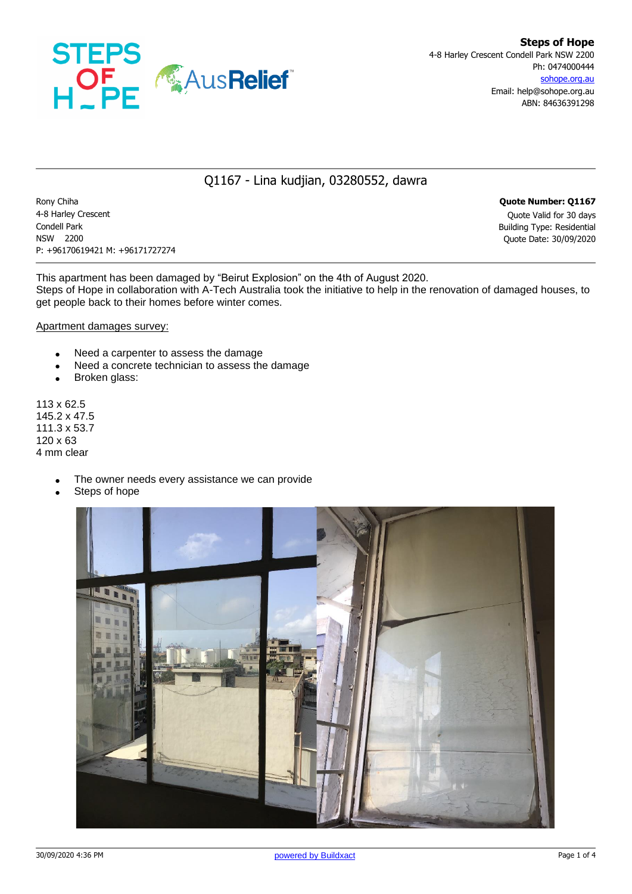

## Q1167 - Lina kudjian, 03280552, dawra

Rony Chiha **Quote Number: Q1167** 4-8 Harley Crescent Quote Valid for 30 days Condell Park Building Type: Residential NSW 2200 Quote Date: 30/09/2020 P: +96170619421 M: +96171727274

This apartment has been damaged by "Beirut Explosion" on the 4th of August 2020. Steps of Hope in collaboration with A-Tech Australia took the initiative to help in the renovation of damaged houses, to get people back to their homes before winter comes.

Apartment damages survey:

- Need a carpenter to assess the damage
- Need a concrete technician to assess the damage
- Broken glass:

113 x 62.5 145.2 x 47.5 111.3 x 53.7 120 x 63 4 mm clear

- The owner needs every assistance we can provide
- Steps of hope

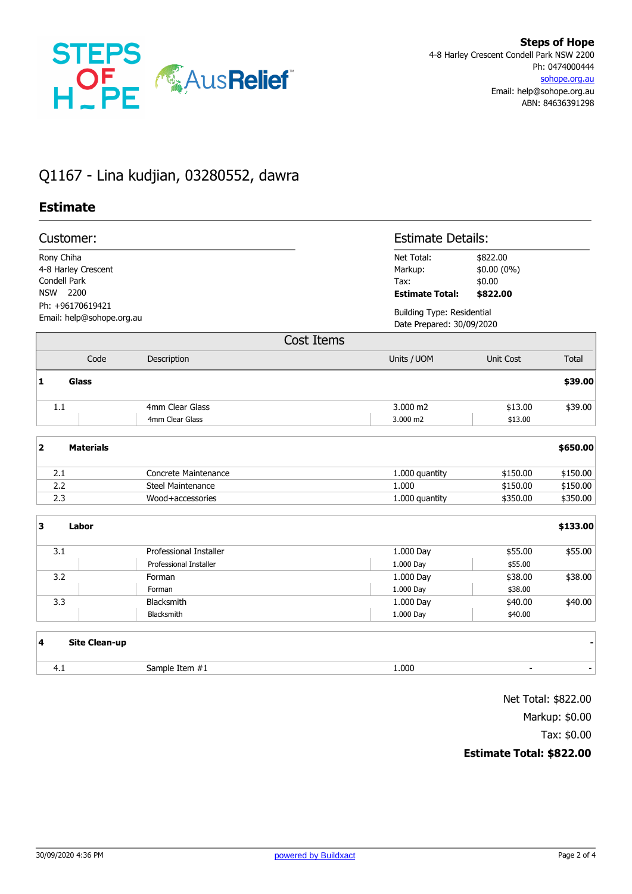

## Q1167 - Lina kudjian, 03280552, dawra

## **Estimate**

| Customer:                                     |                                                 |                                                         |                                                         | <b>Estimate Details:</b>                                       |          |  |
|-----------------------------------------------|-------------------------------------------------|---------------------------------------------------------|---------------------------------------------------------|----------------------------------------------------------------|----------|--|
| Rony Chiha                                    | 4-8 Harley Crescent<br>Condell Park<br>NSW 2200 |                                                         | Net Total:<br>Markup:<br>Tax:<br><b>Estimate Total:</b> | \$822.00<br>\$0.00 (0%)<br>\$0.00<br>\$822.00                  |          |  |
| Ph: +96170619421<br>Email: help@sohope.org.au |                                                 |                                                         |                                                         | <b>Building Type: Residential</b><br>Date Prepared: 30/09/2020 |          |  |
|                                               |                                                 |                                                         | <b>Cost Items</b>                                       |                                                                |          |  |
|                                               | Code                                            | Description                                             | Units / UOM                                             | Unit Cost                                                      | Total    |  |
| 1                                             | <b>Glass</b>                                    |                                                         |                                                         |                                                                | \$39.00  |  |
| $1.1$                                         |                                                 | 4mm Clear Glass<br>4mm Clear Glass                      | 3.000 m2<br>3.000 m2                                    | \$13.00<br>\$13.00                                             | \$39.00  |  |
| $\overline{\mathbf{2}}$                       | <b>Materials</b>                                |                                                         |                                                         |                                                                | \$650.00 |  |
| 2.1                                           |                                                 | <b>Concrete Maintenance</b>                             | 1.000 quantity                                          | \$150.00                                                       | \$150.00 |  |
| 2.2                                           |                                                 | <b>Steel Maintenance</b>                                | 1.000                                                   | \$150.00                                                       | \$150.00 |  |
| 2.3                                           |                                                 | Wood+accessories                                        | 1.000 quantity                                          | \$350.00                                                       | \$350.00 |  |
| $\overline{\mathbf{3}}$                       | Labor                                           |                                                         |                                                         |                                                                | \$133.00 |  |
| 3.1                                           |                                                 | Professional Installer<br><b>Professional Installer</b> | 1.000 Day<br>1.000 Day                                  | \$55.00<br>\$55.00                                             | \$55.00  |  |
| 3.2                                           |                                                 | Forman                                                  | 1.000 Day                                               | \$38.00                                                        | \$38.00  |  |
|                                               |                                                 | Forman                                                  | 1.000 Day                                               | \$38.00                                                        |          |  |
| 3.3                                           |                                                 | Blacksmith                                              | 1.000 Day                                               | \$40.00                                                        | \$40.00  |  |
|                                               |                                                 | Blacksmith                                              | 1.000 Day                                               | \$40.00                                                        |          |  |
| $\overline{\mathbf{4}}$                       | <b>Site Clean-up</b>                            |                                                         |                                                         |                                                                |          |  |
| 4.1                                           |                                                 | Sample Item #1                                          | 1.000                                                   |                                                                |          |  |

Net Total: \$822.00 Markup: \$0.00 Tax: \$0.00

## **Estimate Total: \$822.00**